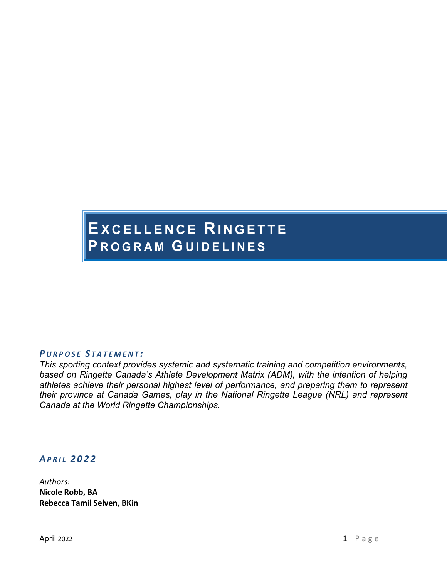# **EXCELLENCE RINGETTE P ROGRAM G UIDELINES**

#### *P URPOSE S TATEMENT :*

*This sporting context provides systemic and systematic training and competition environments, based on Ringette Canada's Athlete Development Matrix (ADM), with the intention of helping athletes achieve their personal highest level of performance, and preparing them to represent their province at Canada Games, play in the National Ringette League (NRL) and represent Canada at the World Ringette Championships.*

#### *APRIL 2022*

*Authors:* **Nicole Robb, BA Rebecca Tamil Selven, BKin**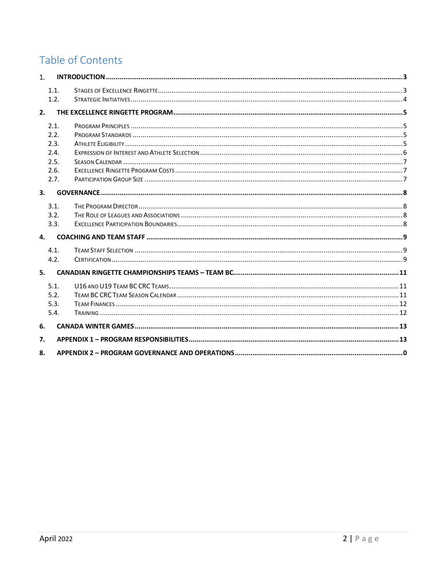## Table of Contents

| 1.   |  |
|------|--|
| 1.1. |  |
| 1.2. |  |
| 2.   |  |
| 2.1. |  |
| 2.2. |  |
| 2.3. |  |
| 2.4. |  |
| 2.5. |  |
| 2.6. |  |
| 2.7. |  |
| 3.   |  |
| 3.1. |  |
| 3.2. |  |
| 3.3. |  |
| 4.   |  |
| 4.1. |  |
| 4.2. |  |
| 5.   |  |
| 5.1. |  |
| 5.2. |  |
| 5.3. |  |
| 5.4. |  |
| 6.   |  |
| 7.   |  |
| 8.   |  |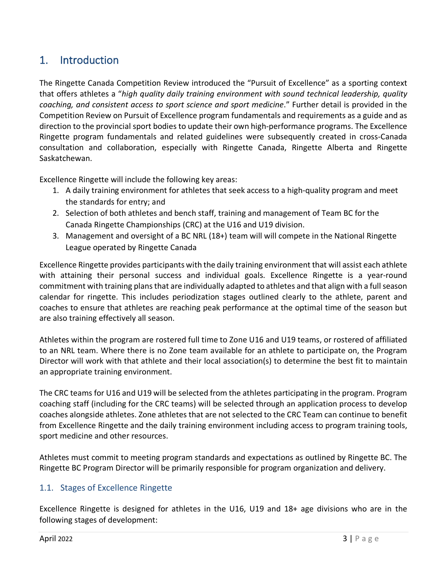### <span id="page-2-0"></span>1. Introduction

The Ringette Canada Competition Review introduced the "Pursuit of Excellence" as a sporting context that offers athletes a "*high quality daily training environment with sound technical leadership, quality coaching, and consistent access to sport science and sport medicine*." Further detail is provided in the Competition Review on Pursuit of Excellence program fundamentals and requirements as a guide and as direction to the provincial sport bodies to update their own high-performance programs. The Excellence Ringette program fundamentals and related guidelines were subsequently created in cross-Canada consultation and collaboration, especially with Ringette Canada, Ringette Alberta and Ringette Saskatchewan.

Excellence Ringette will include the following key areas:

- 1. A daily training environment for athletes that seek access to a high-quality program and meet the standards for entry; and
- 2. Selection of both athletes and bench staff, training and management of Team BC for the Canada Ringette Championships (CRC) at the U16 and U19 division.
- 3. Management and oversight of a BC NRL (18+) team will will compete in the National Ringette League operated by Ringette Canada

Excellence Ringette provides participants with the daily training environment that will assist each athlete with attaining their personal success and individual goals. Excellence Ringette is a year-round commitment with training plans that are individually adapted to athletes and that align with a full season calendar for ringette. This includes periodization stages outlined clearly to the athlete, parent and coaches to ensure that athletes are reaching peak performance at the optimal time of the season but are also training effectively all season.

Athletes within the program are rostered full time to Zone U16 and U19 teams, or rostered of affiliated to an NRL team. Where there is no Zone team available for an athlete to participate on, the Program Director will work with that athlete and their local association(s) to determine the best fit to maintain an appropriate training environment.

The CRC teams for U16 and U19 will be selected from the athletes participating in the program. Program coaching staff (including for the CRC teams) will be selected through an application process to develop coaches alongside athletes. Zone athletes that are not selected to the CRC Team can continue to benefit from Excellence Ringette and the daily training environment including access to program training tools, sport medicine and other resources.

Athletes must commit to meeting program standards and expectations as outlined by Ringette BC. The Ringette BC Program Director will be primarily responsible for program organization and delivery.

#### <span id="page-2-1"></span>1.1. Stages of Excellence Ringette

Excellence Ringette is designed for athletes in the U16, U19 and 18+ age divisions who are in the following stages of development: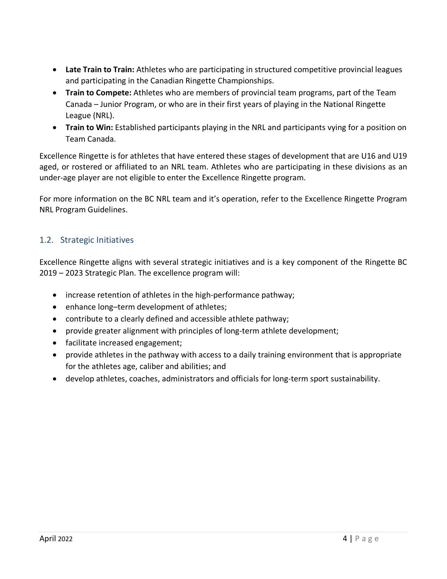- **Late Train to Train:** Athletes who are participating in structured competitive provincial leagues and participating in the Canadian Ringette Championships.
- **Train to Compete:** Athletes who are members of provincial team programs, part of the Team Canada – Junior Program, or who are in their first years of playing in the National Ringette League (NRL).
- **Train to Win:** Established participants playing in the NRL and participants vying for a position on Team Canada.

Excellence Ringette is for athletes that have entered these stages of development that are U16 and U19 aged, or rostered or affiliated to an NRL team. Athletes who are participating in these divisions as an under-age player are not eligible to enter the Excellence Ringette program.

For more information on the BC NRL team and it's operation, refer to the Excellence Ringette Program NRL Program Guidelines.

#### <span id="page-3-0"></span>1.2. Strategic Initiatives

Excellence Ringette aligns with several strategic initiatives and is a key component of the Ringette BC 2019 – 2023 Strategic Plan. The excellence program will:

- increase retention of athletes in the high-performance pathway;
- enhance long-term development of athletes;
- contribute to a clearly defined and accessible athlete pathway;
- provide greater alignment with principles of long-term athlete development;
- facilitate increased engagement;
- provide athletes in the pathway with access to a daily training environment that is appropriate for the athletes age, caliber and abilities; and
- develop athletes, coaches, administrators and officials for long-term sport sustainability.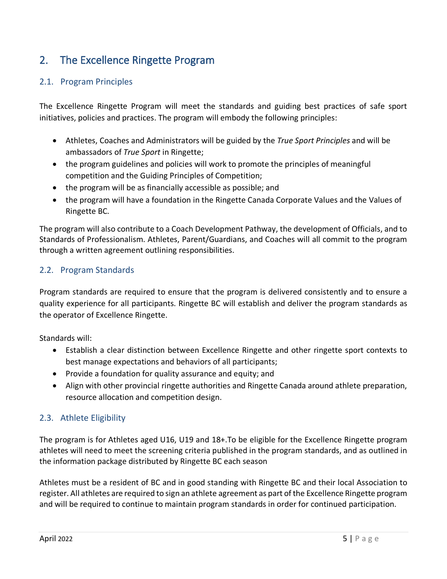### <span id="page-4-0"></span>2. The Excellence Ringette Program

#### <span id="page-4-1"></span>2.1. Program Principles

The Excellence Ringette Program will meet the standards and guiding best practices of safe sport initiatives, policies and practices. The program will embody the following principles:

- Athletes, Coaches and Administrators will be guided by the *True Sport Principles* and will be ambassadors of *True Sport* in Ringette;
- the program guidelines and policies will work to promote the principles of meaningful competition and the Guiding Principles of Competition;
- the program will be as financially accessible as possible; and
- the program will have a foundation in the Ringette Canada Corporate Values and the Values of Ringette BC.

The program will also contribute to a Coach Development Pathway, the development of Officials, and to Standards of Professionalism. Athletes, Parent/Guardians, and Coaches will all commit to the program through a written agreement outlining responsibilities.

#### <span id="page-4-2"></span>2.2. Program Standards

Program standards are required to ensure that the program is delivered consistently and to ensure a quality experience for all participants. Ringette BC will establish and deliver the program standards as the operator of Excellence Ringette.

Standards will:

- Establish a clear distinction between Excellence Ringette and other ringette sport contexts to best manage expectations and behaviors of all participants;
- Provide a foundation for quality assurance and equity; and
- Align with other provincial ringette authorities and Ringette Canada around athlete preparation, resource allocation and competition design.

#### <span id="page-4-3"></span>2.3. Athlete Eligibility

The program is for Athletes aged U16, U19 and 18+.To be eligible for the Excellence Ringette program athletes will need to meet the screening criteria published in the program standards, and as outlined in the information package distributed by Ringette BC each season

Athletes must be a resident of BC and in good standing with Ringette BC and their local Association to register. All athletes are required to sign an athlete agreement as part of the Excellence Ringette program and will be required to continue to maintain program standards in order for continued participation.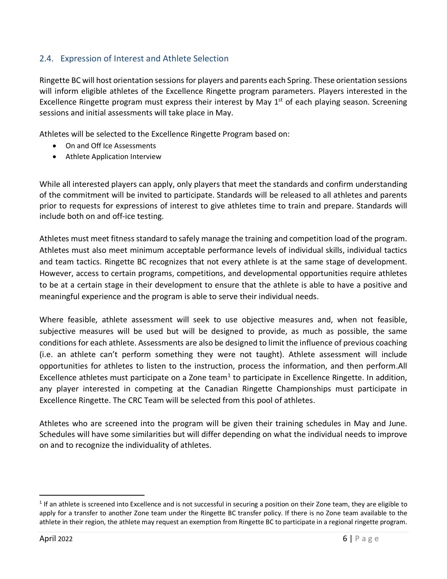#### <span id="page-5-0"></span>2.4. Expression of Interest and Athlete Selection

Ringette BC will host orientation sessions for players and parents each Spring. These orientation sessions will inform eligible athletes of the Excellence Ringette program parameters. Players interested in the Excellence Ringette program must express their interest by May  $1<sup>st</sup>$  of each playing season. Screening sessions and initial assessments will take place in May.

Athletes will be selected to the Excellence Ringette Program based on:

- On and Off Ice Assessments
- Athlete Application Interview

While all interested players can apply, only players that meet the standards and confirm understanding of the commitment will be invited to participate. Standards will be released to all athletes and parents prior to requests for expressions of interest to give athletes time to train and prepare. Standards will include both on and off-ice testing.

Athletes must meet fitness standard to safely manage the training and competition load of the program. Athletes must also meet minimum acceptable performance levels of individual skills, individual tactics and team tactics. Ringette BC recognizes that not every athlete is at the same stage of development. However, access to certain programs, competitions, and developmental opportunities require athletes to be at a certain stage in their development to ensure that the athlete is able to have a positive and meaningful experience and the program is able to serve their individual needs.

Where feasible, athlete assessment will seek to use objective measures and, when not feasible, subjective measures will be used but will be designed to provide, as much as possible, the same conditions for each athlete. Assessments are also be designed to limit the influence of previous coaching (i.e. an athlete can't perform something they were not taught). Athlete assessment will include opportunities for athletes to listen to the instruction, process the information, and then perform.All Excellence athletes must participate on a Zone team<sup>[1](#page-5-1)</sup> to participate in Excellence Ringette. In addition, any player interested in competing at the Canadian Ringette Championships must participate in Excellence Ringette. The CRC Team will be selected from this pool of athletes.

Athletes who are screened into the program will be given their training schedules in May and June. Schedules will have some similarities but will differ depending on what the individual needs to improve on and to recognize the individuality of athletes.

<span id="page-5-1"></span> $<sup>1</sup>$  If an athlete is screened into Excellence and is not successful in securing a position on their Zone team, they are eligible to</sup> apply for a transfer to another Zone team under the Ringette BC transfer policy. If there is no Zone team available to the athlete in their region, the athlete may request an exemption from Ringette BC to participate in a regional ringette program.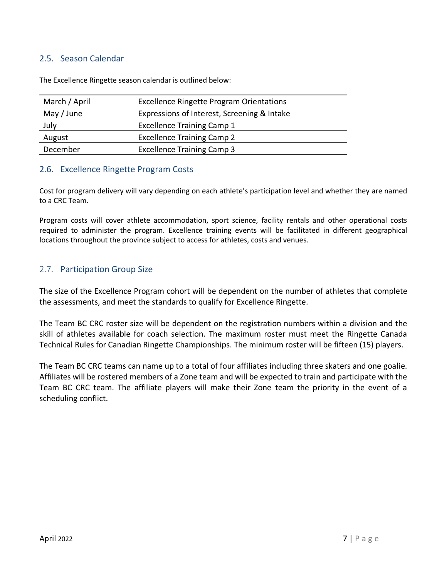#### <span id="page-6-0"></span>2.5. Season Calendar

The Excellence Ringette season calendar is outlined below:

| March / April | <b>Excellence Ringette Program Orientations</b> |  |  |  |
|---------------|-------------------------------------------------|--|--|--|
| May / June    | Expressions of Interest, Screening & Intake     |  |  |  |
| July          | <b>Excellence Training Camp 1</b>               |  |  |  |
| August        | <b>Excellence Training Camp 2</b>               |  |  |  |
| December      | <b>Excellence Training Camp 3</b>               |  |  |  |

#### <span id="page-6-1"></span>2.6. Excellence Ringette Program Costs

Cost for program delivery will vary depending on each athlete's participation level and whether they are named to a CRC Team.

Program costs will cover athlete accommodation, sport science, facility rentals and other operational costs required to administer the program. Excellence training events will be facilitated in different geographical locations throughout the province subject to access for athletes, costs and venues.

#### <span id="page-6-2"></span>2.7. Participation Group Size

The size of the Excellence Program cohort will be dependent on the number of athletes that complete the assessments, and meet the standards to qualify for Excellence Ringette.

The Team BC CRC roster size will be dependent on the registration numbers within a division and the skill of athletes available for coach selection. The maximum roster must meet the Ringette Canada Technical Rules for Canadian Ringette Championships. The minimum roster will be fifteen (15) players.

The Team BC CRC teams can name up to a total of four affiliates including three skaters and one goalie. Affiliates will be rostered members of a Zone team and will be expected to train and participate with the Team BC CRC team. The affiliate players will make their Zone team the priority in the event of a scheduling conflict.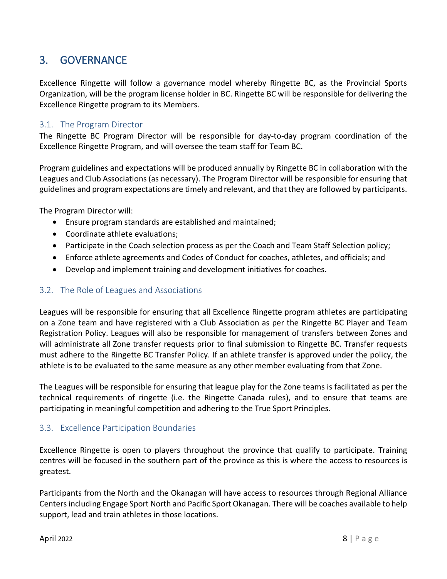### <span id="page-7-0"></span>3. GOVERNANCE

Excellence Ringette will follow a governance model whereby Ringette BC, as the Provincial Sports Organization, will be the program license holder in BC. Ringette BC will be responsible for delivering the Excellence Ringette program to its Members.

#### <span id="page-7-1"></span>3.1. The Program Director

The Ringette BC Program Director will be responsible for day-to-day program coordination of the Excellence Ringette Program, and will oversee the team staff for Team BC.

Program guidelines and expectations will be produced annually by Ringette BC in collaboration with the Leagues and Club Associations (as necessary). The Program Director will be responsible for ensuring that guidelines and program expectations are timely and relevant, and that they are followed by participants.

The Program Director will:

- Ensure program standards are established and maintained;
- Coordinate athlete evaluations;
- Participate in the Coach selection process as per the Coach and Team Staff Selection policy;
- Enforce athlete agreements and Codes of Conduct for coaches, athletes, and officials; and
- Develop and implement training and development initiatives for coaches.

#### <span id="page-7-2"></span>3.2. The Role of Leagues and Associations

Leagues will be responsible for ensuring that all Excellence Ringette program athletes are participating on a Zone team and have registered with a Club Association as per the Ringette BC Player and Team Registration Policy. Leagues will also be responsible for management of transfers between Zones and will administrate all Zone transfer requests prior to final submission to Ringette BC. Transfer requests must adhere to the Ringette BC Transfer Policy. If an athlete transfer is approved under the policy, the athlete is to be evaluated to the same measure as any other member evaluating from that Zone.

The Leagues will be responsible for ensuring that league play for the Zone teams is facilitated as per the technical requirements of ringette (i.e. the Ringette Canada rules), and to ensure that teams are participating in meaningful competition and adhering to the True Sport Principles.

#### <span id="page-7-3"></span>3.3. Excellence Participation Boundaries

Excellence Ringette is open to players throughout the province that qualify to participate. Training centres will be focused in the southern part of the province as this is where the access to resources is greatest.

Participants from the North and the Okanagan will have access to resources through Regional Alliance Centers including Engage Sport North and Pacific Sport Okanagan. There will be coaches available to help support, lead and train athletes in those locations.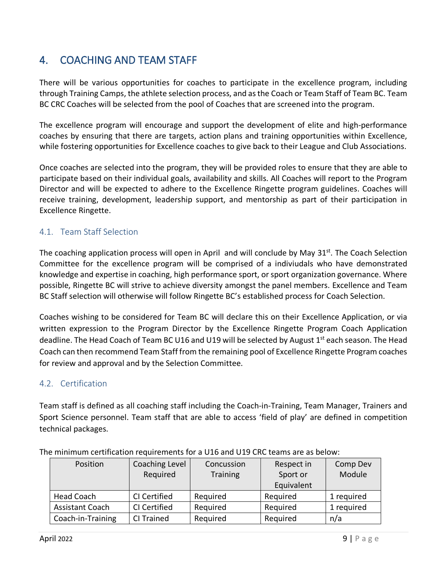### <span id="page-8-0"></span>4. COACHING AND TEAM STAFF

There will be various opportunities for coaches to participate in the excellence program, including through Training Camps, the athlete selection process, and as the Coach or Team Staff of Team BC. Team BC CRC Coaches will be selected from the pool of Coaches that are screened into the program.

The excellence program will encourage and support the development of elite and high-performance coaches by ensuring that there are targets, action plans and training opportunities within Excellence, while fostering opportunities for Excellence coaches to give back to their League and Club Associations.

Once coaches are selected into the program, they will be provided roles to ensure that they are able to participate based on their individual goals, availability and skills. All Coaches will report to the Program Director and will be expected to adhere to the Excellence Ringette program guidelines. Coaches will receive training, development, leadership support, and mentorship as part of their participation in Excellence Ringette.

#### <span id="page-8-1"></span>4.1. Team Staff Selection

The coaching application process will open in April and will conclude by May 31<sup>st</sup>. The Coach Selection Committee for the excellence program will be comprised of a indiviudals who have demonstrated knowledge and expertise in coaching, high performance sport, or sport organization governance. Where possible, Ringette BC will strive to achieve diversity amongst the panel members. Excellence and Team BC Staff selection will otherwise will follow Ringette BC's established process for Coach Selection.

Coaches wishing to be considered for Team BC will declare this on their Excellence Application, or via written expression to the Program Director by the Excellence Ringette Program Coach Application deadline. The Head Coach of Team BC U16 and U19 will be selected by August 1<sup>st</sup> each season. The Head Coach can then recommend Team Staff from the remaining pool of Excellence Ringette Program coaches for review and approval and by the Selection Committee.

#### <span id="page-8-2"></span>4.2. Certification

Team staff is defined as all coaching staff including the Coach-in-Training, Team Manager, Trainers and Sport Science personnel. Team staff that are able to access 'field of play' are defined in competition technical packages.

| Position               | Coaching Level |                 | Respect in | Comp Dev   |  |  |  |  |
|------------------------|----------------|-----------------|------------|------------|--|--|--|--|
|                        | Required       | <b>Training</b> | Sport or   | Module     |  |  |  |  |
|                        |                |                 | Equivalent |            |  |  |  |  |
| <b>Head Coach</b>      | CI Certified   | Required        | Required   | 1 required |  |  |  |  |
| <b>Assistant Coach</b> | CI Certified   | Required        | Required   | 1 required |  |  |  |  |
| Coach-in-Training      | CI Trained     | Required        | Required   | n/a        |  |  |  |  |

The minimum certification requirements for a U16 and U19 CRC teams are as below: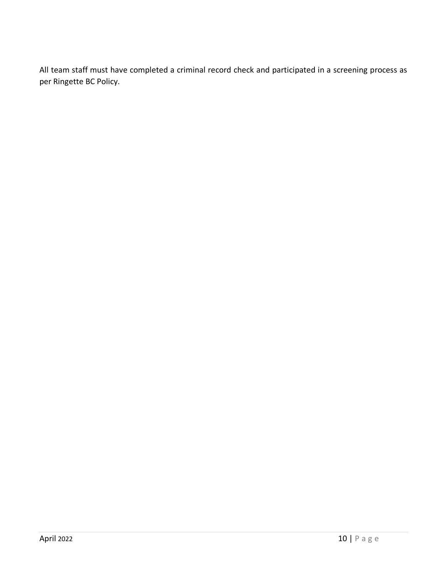All team staff must have completed a criminal record check and participated in a screening process as per Ringette BC Policy.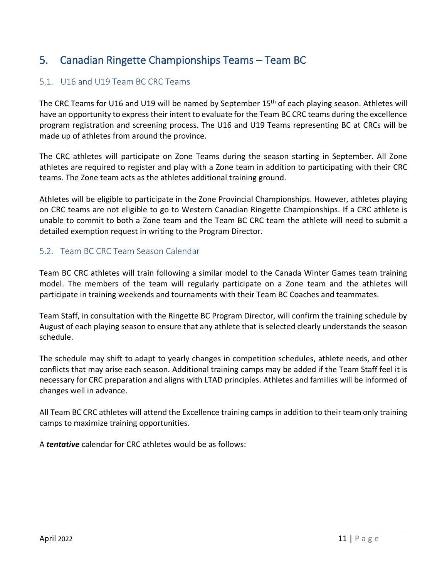### <span id="page-10-0"></span>5. Canadian Ringette Championships Teams – Team BC

#### <span id="page-10-1"></span>5.1. U16 and U19 Team BC CRC Teams

The CRC Teams for U16 and U19 will be named by September 15th of each playing season. Athletes will have an opportunity to express their intent to evaluate for the Team BC CRC teams during the excellence program registration and screening process. The U16 and U19 Teams representing BC at CRCs will be made up of athletes from around the province.

The CRC athletes will participate on Zone Teams during the season starting in September. All Zone athletes are required to register and play with a Zone team in addition to participating with their CRC teams. The Zone team acts as the athletes additional training ground.

Athletes will be eligible to participate in the Zone Provincial Championships. However, athletes playing on CRC teams are not eligible to go to Western Canadian Ringette Championships. If a CRC athlete is unable to commit to both a Zone team and the Team BC CRC team the athlete will need to submit a detailed exemption request in writing to the Program Director.

#### <span id="page-10-2"></span>5.2. Team BC CRC Team Season Calendar

Team BC CRC athletes will train following a similar model to the Canada Winter Games team training model. The members of the team will regularly participate on a Zone team and the athletes will participate in training weekends and tournaments with their Team BC Coaches and teammates.

Team Staff, in consultation with the Ringette BC Program Director, will confirm the training schedule by August of each playing season to ensure that any athlete that is selected clearly understands the season schedule.

The schedule may shift to adapt to yearly changes in competition schedules, athlete needs, and other conflicts that may arise each season. Additional training camps may be added if the Team Staff feel it is necessary for CRC preparation and aligns with LTAD principles. Athletes and families will be informed of changes well in advance.

All Team BC CRC athletes will attend the Excellence training camps in addition to their team only training camps to maximize training opportunities.

A *tentative* calendar for CRC athletes would be as follows: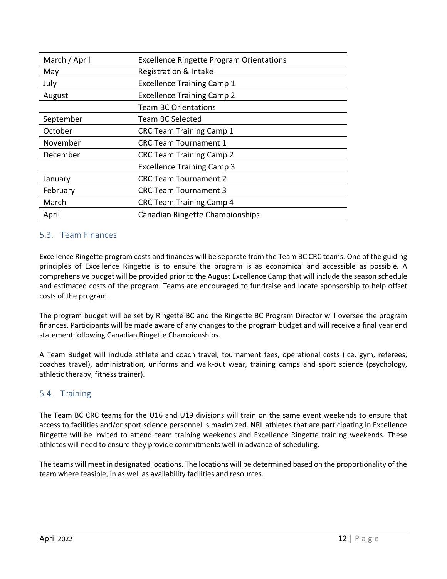| March / April | <b>Excellence Ringette Program Orientations</b> |  |  |  |
|---------------|-------------------------------------------------|--|--|--|
| May           | Registration & Intake                           |  |  |  |
| July          | <b>Excellence Training Camp 1</b>               |  |  |  |
| August        | <b>Excellence Training Camp 2</b>               |  |  |  |
|               | <b>Team BC Orientations</b>                     |  |  |  |
| September     | <b>Team BC Selected</b>                         |  |  |  |
| October       | <b>CRC Team Training Camp 1</b>                 |  |  |  |
| November      | <b>CRC Team Tournament 1</b>                    |  |  |  |
| December      | <b>CRC Team Training Camp 2</b>                 |  |  |  |
|               | <b>Excellence Training Camp 3</b>               |  |  |  |
| January       | <b>CRC Team Tournament 2</b>                    |  |  |  |
| February      | <b>CRC Team Tournament 3</b>                    |  |  |  |
| March         | <b>CRC Team Training Camp 4</b>                 |  |  |  |
| April         | Canadian Ringette Championships                 |  |  |  |

#### <span id="page-11-0"></span>5.3. Team Finances

Excellence Ringette program costs and finances will be separate from the Team BC CRC teams. One of the guiding principles of Excellence Ringette is to ensure the program is as economical and accessible as possible. A comprehensive budget will be provided prior to the August Excellence Camp that will include the season schedule and estimated costs of the program. Teams are encouraged to fundraise and locate sponsorship to help offset costs of the program.

The program budget will be set by Ringette BC and the Ringette BC Program Director will oversee the program finances. Participants will be made aware of any changes to the program budget and will receive a final year end statement following Canadian Ringette Championships.

A Team Budget will include athlete and coach travel, tournament fees, operational costs (ice, gym, referees, coaches travel), administration, uniforms and walk-out wear, training camps and sport science (psychology, athletic therapy, fitness trainer).

#### <span id="page-11-1"></span>5.4. Training

The Team BC CRC teams for the U16 and U19 divisions will train on the same event weekends to ensure that access to facilities and/or sport science personnel is maximized. NRL athletes that are participating in Excellence Ringette will be invited to attend team training weekends and Excellence Ringette training weekends. These athletes will need to ensure they provide commitments well in advance of scheduling.

The teams will meet in designated locations. The locations will be determined based on the proportionality of the team where feasible, in as well as availability facilities and resources.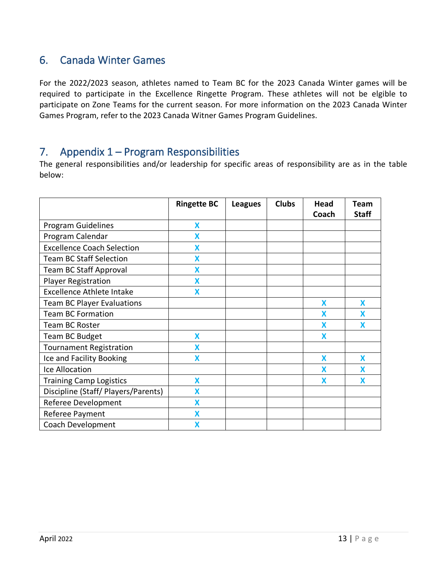### <span id="page-12-0"></span>6. Canada Winter Games

For the 2022/2023 season, athletes named to Team BC for the 2023 Canada Winter games will be required to participate in the Excellence Ringette Program. These athletes will not be elgible to participate on Zone Teams for the current season. For more information on the 2023 Canada Winter Games Program, refer to the 2023 Canada Witner Games Program Guidelines.

### <span id="page-12-1"></span>7. Appendix 1 – Program Responsibilities

The general responsibilities and/or leadership for specific areas of responsibility are as in the table below:

|                                     | <b>Ringette BC</b>      | <b>Leagues</b> | <b>Clubs</b> | Head<br>Coach | Team<br><b>Staff</b> |
|-------------------------------------|-------------------------|----------------|--------------|---------------|----------------------|
| Program Guidelines                  | X                       |                |              |               |                      |
| Program Calendar                    | $\overline{\mathsf{X}}$ |                |              |               |                      |
| <b>Excellence Coach Selection</b>   | X                       |                |              |               |                      |
| <b>Team BC Staff Selection</b>      | X                       |                |              |               |                      |
| <b>Team BC Staff Approval</b>       | X                       |                |              |               |                      |
| <b>Player Registration</b>          | X                       |                |              |               |                      |
| <b>Excellence Athlete Intake</b>    | X                       |                |              |               |                      |
| <b>Team BC Player Evaluations</b>   |                         |                |              | X             | X                    |
| <b>Team BC Formation</b>            |                         |                |              | X             | X                    |
| <b>Team BC Roster</b>               |                         |                |              | X             | X                    |
| <b>Team BC Budget</b>               | X                       |                |              | X             |                      |
| <b>Tournament Registration</b>      | X                       |                |              |               |                      |
| Ice and Facility Booking            | X                       |                |              | X             | X                    |
| Ice Allocation                      |                         |                |              | X             | X                    |
| <b>Training Camp Logistics</b>      | X                       |                |              | X             | X                    |
| Discipline (Staff/ Players/Parents) | X                       |                |              |               |                      |
| Referee Development                 | X                       |                |              |               |                      |
| Referee Payment                     | X                       |                |              |               |                      |
| Coach Development                   | X                       |                |              |               |                      |